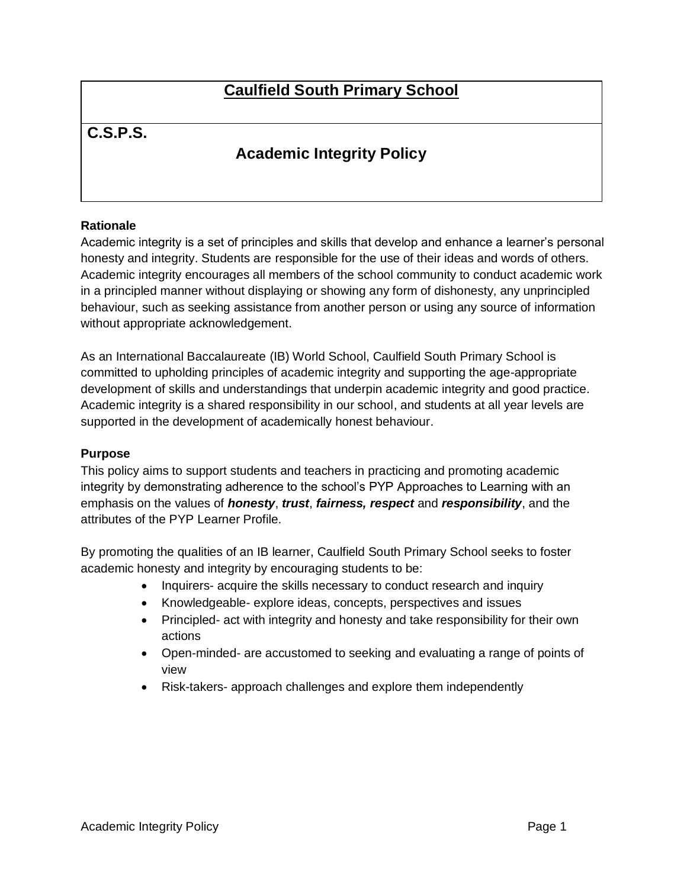# **Caulfield South Primary School**

# **C.S.P.S.**

# **Academic Integrity Policy**

#### **Rationale**

Academic integrity is a set of principles and skills that develop and enhance a learner's personal honesty and integrity. Students are responsible for the use of their ideas and words of others. Academic integrity encourages all members of the school community to conduct academic work in a principled manner without displaying or showing any form of dishonesty, any unprincipled behaviour, such as seeking assistance from another person or using any source of information without appropriate acknowledgement.

As an International Baccalaureate (IB) World School, Caulfield South Primary School is committed to upholding principles of academic integrity and supporting the age-appropriate development of skills and understandings that underpin academic integrity and good practice. Academic integrity is a shared responsibility in our school, and students at all year levels are supported in the development of academically honest behaviour.

#### **Purpose**

This policy aims to support students and teachers in practicing and promoting academic integrity by demonstrating adherence to the school's PYP Approaches to Learning with an emphasis on the values of *honesty*, *trust*, *fairness, respect* and *responsibility*, and the attributes of the PYP Learner Profile.

By promoting the qualities of an IB learner, Caulfield South Primary School seeks to foster academic honesty and integrity by encouraging students to be:

- Inquirers- acquire the skills necessary to conduct research and inquiry
- Knowledgeable- explore ideas, concepts, perspectives and issues
- Principled- act with integrity and honesty and take responsibility for their own actions
- Open-minded- are accustomed to seeking and evaluating a range of points of view
- Risk-takers- approach challenges and explore them independently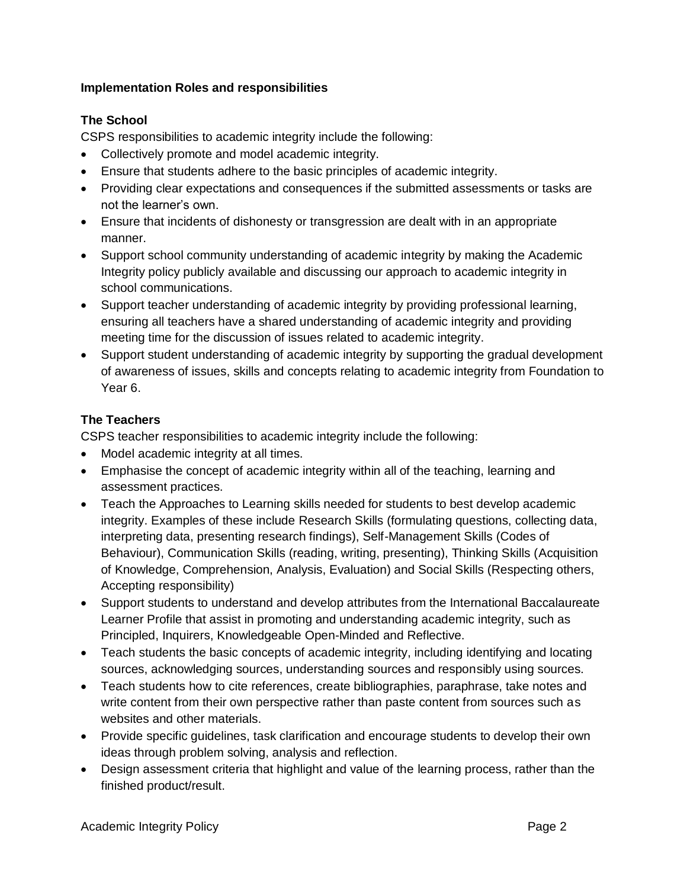#### **Implementation Roles and responsibilities**

#### **The School**

CSPS responsibilities to academic integrity include the following:

- Collectively promote and model academic integrity.
- Ensure that students adhere to the basic principles of academic integrity.
- Providing clear expectations and consequences if the submitted assessments or tasks are not the learner's own.
- Ensure that incidents of dishonesty or transgression are dealt with in an appropriate manner.
- Support school community understanding of academic integrity by making the Academic Integrity policy publicly available and discussing our approach to academic integrity in school communications.
- Support teacher understanding of academic integrity by providing professional learning, ensuring all teachers have a shared understanding of academic integrity and providing meeting time for the discussion of issues related to academic integrity.
- Support student understanding of academic integrity by supporting the gradual development of awareness of issues, skills and concepts relating to academic integrity from Foundation to Year 6.

#### **The Teachers**

CSPS teacher responsibilities to academic integrity include the following:

- Model academic integrity at all times.
- Emphasise the concept of academic integrity within all of the teaching, learning and assessment practices.
- Teach the Approaches to Learning skills needed for students to best develop academic integrity. Examples of these include Research Skills (formulating questions, collecting data, interpreting data, presenting research findings), Self-Management Skills (Codes of Behaviour), Communication Skills (reading, writing, presenting), Thinking Skills (Acquisition of Knowledge, Comprehension, Analysis, Evaluation) and Social Skills (Respecting others, Accepting responsibility)
- Support students to understand and develop attributes from the International Baccalaureate Learner Profile that assist in promoting and understanding academic integrity, such as Principled, Inquirers, Knowledgeable Open-Minded and Reflective.
- Teach students the basic concepts of academic integrity, including identifying and locating sources, acknowledging sources, understanding sources and responsibly using sources.
- Teach students how to cite references, create bibliographies, paraphrase, take notes and write content from their own perspective rather than paste content from sources such as websites and other materials.
- Provide specific guidelines, task clarification and encourage students to develop their own ideas through problem solving, analysis and reflection.
- Design assessment criteria that highlight and value of the learning process, rather than the finished product/result.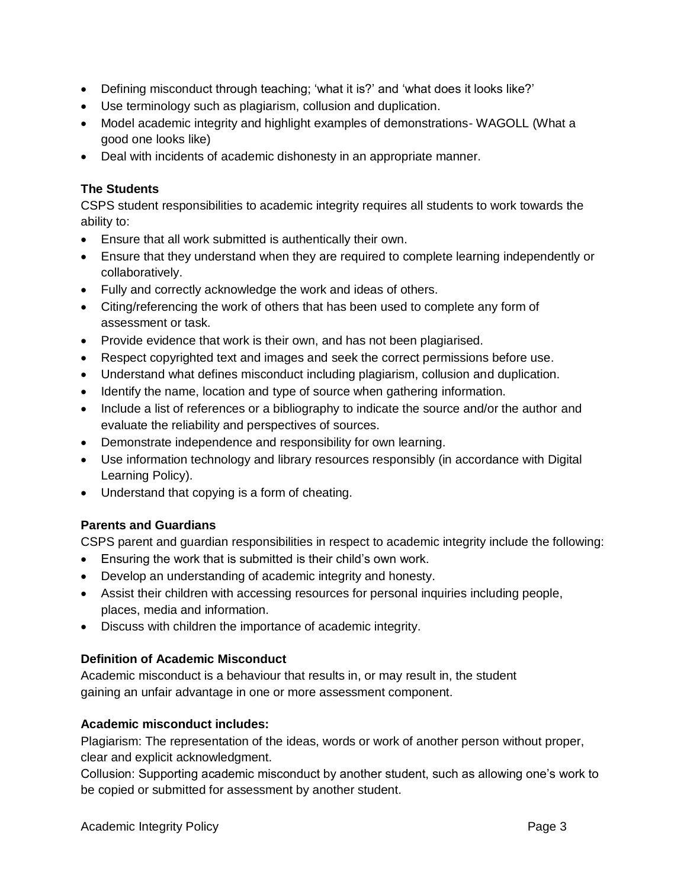- Defining misconduct through teaching; 'what it is?' and 'what does it looks like?'
- Use terminology such as plagiarism, collusion and duplication.
- Model academic integrity and highlight examples of demonstrations- WAGOLL (What a good one looks like)
- Deal with incidents of academic dishonesty in an appropriate manner.

#### **The Students**

CSPS student responsibilities to academic integrity requires all students to work towards the ability to:

- Ensure that all work submitted is authentically their own.
- Ensure that they understand when they are required to complete learning independently or collaboratively.
- Fully and correctly acknowledge the work and ideas of others.
- Citing/referencing the work of others that has been used to complete any form of assessment or task.
- Provide evidence that work is their own, and has not been plagiarised.
- Respect copyrighted text and images and seek the correct permissions before use.
- Understand what defines misconduct including plagiarism, collusion and duplication.
- Identify the name, location and type of source when gathering information.
- Include a list of references or a bibliography to indicate the source and/or the author and evaluate the reliability and perspectives of sources.
- Demonstrate independence and responsibility for own learning.
- Use information technology and library resources responsibly (in accordance with Digital Learning Policy).
- Understand that copying is a form of cheating.

## **Parents and Guardians**

CSPS parent and guardian responsibilities in respect to academic integrity include the following:

- Ensuring the work that is submitted is their child's own work.
- Develop an understanding of academic integrity and honesty.
- Assist their children with accessing resources for personal inquiries including people, places, media and information.
- Discuss with children the importance of academic integrity.

## **Definition of Academic Misconduct**

Academic misconduct is a behaviour that results in, or may result in, the student gaining an unfair advantage in one or more assessment component.

#### **Academic misconduct includes:**

Plagiarism: The representation of the ideas, words or work of another person without proper, clear and explicit acknowledgment.

Collusion: Supporting academic misconduct by another student, such as allowing one's work to be copied or submitted for assessment by another student.